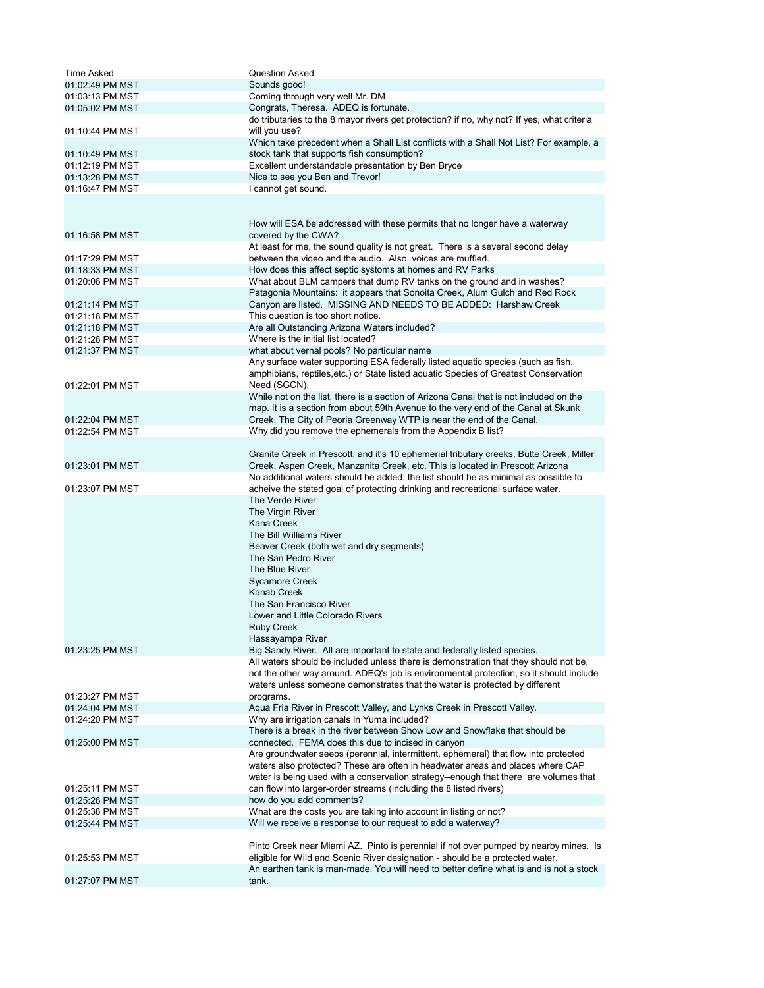| <b>Time Asked</b> | <b>Question Asked</b>                                                                      |
|-------------------|--------------------------------------------------------------------------------------------|
| 01:02:49 PM MST   | Sounds good!                                                                               |
| 01:03:13 PM MST   | Coming through very well Mr. DM                                                            |
|                   |                                                                                            |
| 01:05:02 PM MST   | Congrats, Theresa. ADEQ is fortunate.                                                      |
|                   | do tributaries to the 8 mayor rivers get protection? if no, why not? If yes, what criteria |
| 01:10:44 PM MST   | will you use?                                                                              |
|                   | Which take precedent when a Shall List conflicts with a Shall Not List? For example, a     |
| 01:10:49 PM MST   | stock tank that supports fish consumption?                                                 |
| 01:12:19 PM MST   | Excellent understandable presentation by Ben Bryce                                         |
| 01:13:28 PM MST   | Nice to see you Ben and Trevor!                                                            |
| 01:16:47 PM MST   | I cannot get sound.                                                                        |
|                   |                                                                                            |
|                   |                                                                                            |
|                   |                                                                                            |
|                   | How will ESA be addressed with these permits that no longer have a waterway                |
| 01:16:58 PM MST   | covered by the CWA?                                                                        |
|                   | At least for me, the sound quality is not great. There is a several second delay           |
| 01:17:29 PM MST   | between the video and the audio. Also, voices are muffled.                                 |
| 01:18:33 PM MST   | How does this affect septic systoms at homes and RV Parks                                  |
| 01:20:06 PM MST   | What about BLM campers that dump RV tanks on the ground and in washes?                     |
|                   | Patagonia Mountains: it appears that Sonoita Creek, Alum Gulch and Red Rock                |
| 01:21:14 PM MST   |                                                                                            |
|                   | Canyon are listed. MISSING AND NEEDS TO BE ADDED: Harshaw Creek                            |
| 01:21:16 PM MST   | This question is too short notice.                                                         |
| 01:21:18 PM MST   | Are all Outstanding Arizona Waters included?                                               |
| 01:21:26 PM MST   | Where is the initial list located?                                                         |
| 01:21:37 PM MST   | what about vernal pools? No particular name                                                |
|                   | Any surface water supporting ESA federally listed aquatic species (such as fish,           |
|                   | amphibians, reptiles, etc.) or State listed aquatic Species of Greatest Conservation       |
| 01:22:01 PM MST   | Need (SGCN).                                                                               |
|                   | While not on the list, there is a section of Arizona Canal that is not included on the     |
|                   |                                                                                            |
|                   | map. It is a section from about 59th Avenue to the very end of the Canal at Skunk          |
| 01:22:04 PM MST   | Creek. The City of Peoria Greenway WTP is near the end of the Canal.                       |
| 01:22:54 PM MST   | Why did you remove the ephemerals from the Appendix B list?                                |
|                   |                                                                                            |
|                   | Granite Creek in Prescott, and it's 10 ephemerial tributary creeks, Butte Creek, Miller    |
| 01:23:01 PM MST   | Creek, Aspen Creek, Manzanita Creek, etc. This is located in Prescott Arizona              |
|                   | No additional waters should be added; the list should be as minimal as possible to         |
|                   |                                                                                            |
| 01:23:07 PM MST   | acheive the stated goal of protecting drinking and recreational surface water.             |
|                   | The Verde River                                                                            |
|                   | The Virgin River                                                                           |
|                   | Kana Creek                                                                                 |
|                   | The Bill Williams River                                                                    |
|                   | Beaver Creek (both wet and dry segments)                                                   |
|                   | The San Pedro River                                                                        |
|                   | The Blue River                                                                             |
|                   |                                                                                            |
|                   | <b>Sycamore Creek</b>                                                                      |
|                   | <b>Kanab Creek</b>                                                                         |
|                   | The San Francisco River                                                                    |
|                   | Lower and Little Colorado Rivers                                                           |
|                   | <b>Ruby Creek</b>                                                                          |
|                   | Hassayampa River                                                                           |
| 01:23:25 PM MST   | Big Sandy River. All are important to state and federally listed species.                  |
|                   | All waters should be included unless there is demonstration that they should not be,       |
|                   |                                                                                            |
|                   | not the other way around. ADEQ's job is environmental protection, so it should include     |
|                   | waters unless someone demonstrates that the water is protected by different                |
| 01:23:27 PM MST   | programs.                                                                                  |
| 01:24:04 PM MST   | Aqua Fria River in Prescott Valley, and Lynks Creek in Prescott Valley.                    |
| 01:24:20 PM MST   | Why are irrigation canals in Yuma included?                                                |
|                   | There is a break in the river between Show Low and Snowflake that should be                |
| 01:25:00 PM MST   | connected. FEMA does this due to incised in canyon                                         |
|                   | Are groundwater seeps (perennial, intermittent, ephemeral) that flow into protected        |
|                   | waters also protected? These are often in headwater areas and places where CAP             |
|                   | water is being used with a conservation strategy--enough that there are volumes that       |
|                   |                                                                                            |
| 01:25:11 PM MST   | can flow into larger-order streams (including the 8 listed rivers)                         |
| 01:25:26 PM MST   | how do you add comments?                                                                   |
| 01:25:38 PM MST   | What are the costs you are taking into account in listing or not?                          |
| 01:25:44 PM MST   | Will we receive a response to our request to add a waterway?                               |
|                   |                                                                                            |
|                   | Pinto Creek near Miami AZ. Pinto is perennial if not over pumped by nearby mines. Is       |
| 01:25:53 PM MST   | eligible for Wild and Scenic River designation - should be a protected water.              |
|                   | An earthen tank is man-made. You will need to better define what is and is not a stock     |
|                   | tank.                                                                                      |
| 01:27:07 PM MST   |                                                                                            |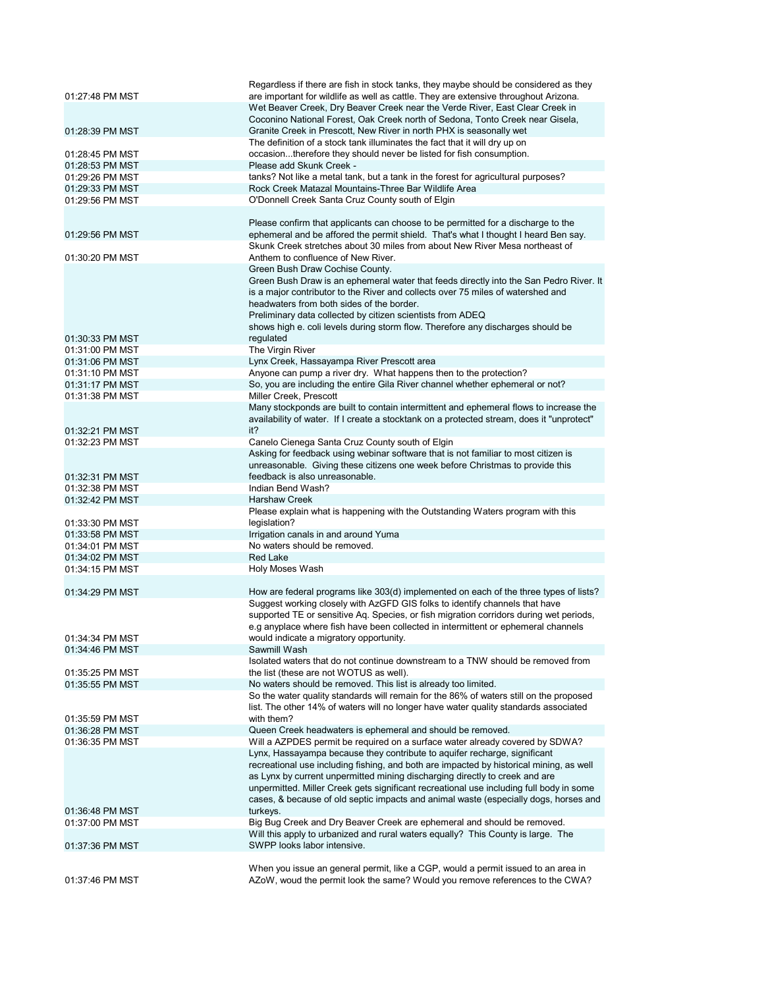|                                    | Regardless if there are fish in stock tanks, they maybe should be considered as they                                                                                      |
|------------------------------------|---------------------------------------------------------------------------------------------------------------------------------------------------------------------------|
| 01:27:48 PM MST                    | are important for wildlife as well as cattle. They are extensive throughout Arizona.                                                                                      |
|                                    | Wet Beaver Creek, Dry Beaver Creek near the Verde River, East Clear Creek in                                                                                              |
| 01:28:39 PM MST                    | Coconino National Forest, Oak Creek north of Sedona, Tonto Creek near Gisela,<br>Granite Creek in Prescott, New River in north PHX is seasonally wet                      |
|                                    | The definition of a stock tank illuminates the fact that it will dry up on                                                                                                |
| 01:28:45 PM MST                    | occasiontherefore they should never be listed for fish consumption.                                                                                                       |
| 01:28:53 PM MST                    | Please add Skunk Creek -                                                                                                                                                  |
| 01:29:26 PM MST                    | tanks? Not like a metal tank, but a tank in the forest for agricultural purposes?                                                                                         |
| 01:29:33 PM MST                    | Rock Creek Matazal Mountains-Three Bar Wildlife Area                                                                                                                      |
| 01:29:56 PM MST                    | O'Donnell Creek Santa Cruz County south of Elgin                                                                                                                          |
|                                    |                                                                                                                                                                           |
|                                    | Please confirm that applicants can choose to be permitted for a discharge to the                                                                                          |
| 01:29:56 PM MST                    | ephemeral and be affored the permit shield. That's what I thought I heard Ben say.                                                                                        |
|                                    | Skunk Creek stretches about 30 miles from about New River Mesa northeast of                                                                                               |
| 01:30:20 PM MST                    | Anthem to confluence of New River.                                                                                                                                        |
|                                    | Green Bush Draw Cochise County.                                                                                                                                           |
|                                    | Green Bush Draw is an ephemeral water that feeds directly into the San Pedro River. It<br>is a major contributor to the River and collects over 75 miles of watershed and |
|                                    | headwaters from both sides of the border.                                                                                                                                 |
|                                    | Preliminary data collected by citizen scientists from ADEQ                                                                                                                |
|                                    | shows high e. coli levels during storm flow. Therefore any discharges should be                                                                                           |
| 01:30:33 PM MST                    | regulated                                                                                                                                                                 |
| 01:31:00 PM MST                    | The Virgin River                                                                                                                                                          |
| 01:31:06 PM MST                    | Lynx Creek, Hassayampa River Prescott area                                                                                                                                |
| 01:31:10 PM MST                    | Anyone can pump a river dry. What happens then to the protection?                                                                                                         |
| 01:31:17 PM MST                    | So, you are including the entire Gila River channel whether ephemeral or not?                                                                                             |
| 01:31:38 PM MST                    | Miller Creek, Prescott                                                                                                                                                    |
|                                    | Many stockponds are built to contain intermittent and ephemeral flows to increase the                                                                                     |
|                                    | availability of water. If I create a stocktank on a protected stream, does it "unprotect"                                                                                 |
| 01:32:21 PM MST                    | it?                                                                                                                                                                       |
| 01:32:23 PM MST                    | Canelo Cienega Santa Cruz County south of Elgin                                                                                                                           |
|                                    | Asking for feedback using webinar software that is not familiar to most citizen is<br>unreasonable. Giving these citizens one week before Christmas to provide this       |
|                                    |                                                                                                                                                                           |
|                                    |                                                                                                                                                                           |
| 01:32:31 PM MST                    | feedback is also unreasonable.                                                                                                                                            |
| 01:32:38 PM MST                    | Indian Bend Wash?                                                                                                                                                         |
| 01:32:42 PM MST                    | <b>Harshaw Creek</b>                                                                                                                                                      |
| 01:33:30 PM MST                    | Please explain what is happening with the Outstanding Waters program with this<br>legislation?                                                                            |
| 01:33:58 PM MST                    | Irrigation canals in and around Yuma                                                                                                                                      |
| 01:34:01 PM MST                    | No waters should be removed.                                                                                                                                              |
| 01:34:02 PM MST                    | <b>Red Lake</b>                                                                                                                                                           |
| 01:34:15 PM MST                    | Holy Moses Wash                                                                                                                                                           |
|                                    |                                                                                                                                                                           |
| 01:34:29 PM MST                    | How are federal programs like 303(d) implemented on each of the three types of lists?                                                                                     |
|                                    | Suggest working closely with AzGFD GIS folks to identify channels that have                                                                                               |
|                                    | supported TE or sensitive Aq. Species, or fish migration corridors during wet periods,                                                                                    |
|                                    | e.g anyplace where fish have been collected in intermittent or ephemeral channels                                                                                         |
| 01:34:34 PM MST                    | would indicate a migratory opportunity.                                                                                                                                   |
| 01:34:46 PM MST                    | Sawmill Wash<br>Isolated waters that do not continue downstream to a TNW should be removed from                                                                           |
| 01:35:25 PM MST                    | the list (these are not WOTUS as well).                                                                                                                                   |
| 01:35:55 PM MST                    | No waters should be removed. This list is already too limited.                                                                                                            |
|                                    | So the water quality standards will remain for the 86% of waters still on the proposed                                                                                    |
|                                    | list. The other 14% of waters will no longer have water quality standards associated                                                                                      |
| 01:35:59 PM MST                    | with them?                                                                                                                                                                |
| 01:36:28 PM MST                    | Queen Creek headwaters is ephemeral and should be removed.                                                                                                                |
| 01:36:35 PM MST                    | Will a AZPDES permit be required on a surface water already covered by SDWA?                                                                                              |
|                                    | Lynx, Hassayampa because they contribute to aquifer recharge, significant                                                                                                 |
|                                    | recreational use including fishing, and both are impacted by historical mining, as well                                                                                   |
|                                    | as Lynx by current unpermitted mining discharging directly to creek and are                                                                                               |
|                                    | unpermitted. Miller Creek gets significant recreational use including full body in some                                                                                   |
|                                    | cases, & because of old septic impacts and animal waste (especially dogs, horses and                                                                                      |
| 01:36:48 PM MST<br>01:37:00 PM MST | turkeys.<br>Big Bug Creek and Dry Beaver Creek are ephemeral and should be removed.                                                                                       |
|                                    | Will this apply to urbanized and rural waters equally? This County is large. The                                                                                          |
| 01:37:36 PM MST                    | SWPP looks labor intensive.                                                                                                                                               |
|                                    |                                                                                                                                                                           |
| 01:37:46 PM MST                    | When you issue an general permit, like a CGP, would a permit issued to an area in<br>AZoW, woud the permit look the same? Would you remove references to the CWA?         |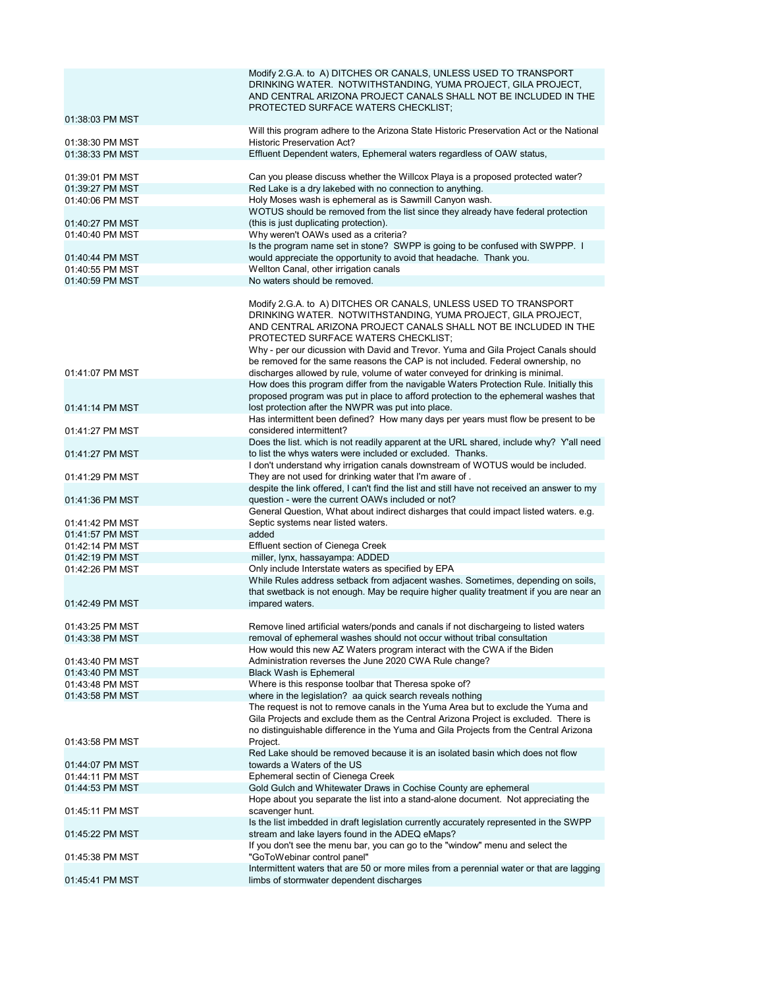|                                    | Modify 2.G.A. to A) DITCHES OR CANALS, UNLESS USED TO TRANSPORT<br>DRINKING WATER. NOTWITHSTANDING, YUMA PROJECT, GILA PROJECT,<br>AND CENTRAL ARIZONA PROJECT CANALS SHALL NOT BE INCLUDED IN THE<br>PROTECTED SURFACE WATERS CHECKLIST;                                                                                                                                                                         |
|------------------------------------|-------------------------------------------------------------------------------------------------------------------------------------------------------------------------------------------------------------------------------------------------------------------------------------------------------------------------------------------------------------------------------------------------------------------|
| 01:38:03 PM MST                    | Will this program adhere to the Arizona State Historic Preservation Act or the National                                                                                                                                                                                                                                                                                                                           |
| 01:38:30 PM MST                    | <b>Historic Preservation Act?</b>                                                                                                                                                                                                                                                                                                                                                                                 |
| 01:38:33 PM MST                    | Effluent Dependent waters, Ephemeral waters regardless of OAW status,                                                                                                                                                                                                                                                                                                                                             |
| 01:39:01 PM MST                    | Can you please discuss whether the Willcox Playa is a proposed protected water?                                                                                                                                                                                                                                                                                                                                   |
| 01:39:27 PM MST                    | Red Lake is a dry lakebed with no connection to anything.                                                                                                                                                                                                                                                                                                                                                         |
| 01:40:06 PM MST                    | Holy Moses wash is ephemeral as is Sawmill Canyon wash.                                                                                                                                                                                                                                                                                                                                                           |
| 01:40:27 PM MST                    | WOTUS should be removed from the list since they already have federal protection<br>(this is just duplicating protection).                                                                                                                                                                                                                                                                                        |
| 01:40:40 PM MST                    | Why weren't OAWs used as a criteria?<br>Is the program name set in stone? SWPP is going to be confused with SWPPP. I                                                                                                                                                                                                                                                                                              |
| 01:40:44 PM MST<br>01:40:55 PM MST | would appreciate the opportunity to avoid that headache. Thank you.<br>Wellton Canal, other irrigation canals                                                                                                                                                                                                                                                                                                     |
| 01:40:59 PM MST                    | No waters should be removed.                                                                                                                                                                                                                                                                                                                                                                                      |
|                                    |                                                                                                                                                                                                                                                                                                                                                                                                                   |
|                                    | Modify 2.G.A. to A) DITCHES OR CANALS, UNLESS USED TO TRANSPORT<br>DRINKING WATER. NOTWITHSTANDING, YUMA PROJECT, GILA PROJECT,<br>AND CENTRAL ARIZONA PROJECT CANALS SHALL NOT BE INCLUDED IN THE<br>PROTECTED SURFACE WATERS CHECKLIST;<br>Why - per our dicussion with David and Trevor. Yuma and Gila Project Canals should<br>be removed for the same reasons the CAP is not included. Federal ownership, no |
| 01:41:07 PM MST                    | discharges allowed by rule, volume of water conveyed for drinking is minimal.                                                                                                                                                                                                                                                                                                                                     |
|                                    | How does this program differ from the navigable Waters Protection Rule. Initially this<br>proposed program was put in place to afford protection to the ephemeral washes that                                                                                                                                                                                                                                     |
| 01:41:14 PM MST                    | lost protection after the NWPR was put into place.<br>Has intermittent been defined? How many days per years must flow be present to be                                                                                                                                                                                                                                                                           |
| 01:41:27 PM MST                    | considered intermittent?<br>Does the list. which is not readily apparent at the URL shared, include why? Y'all need                                                                                                                                                                                                                                                                                               |
| 01:41:27 PM MST                    | to list the whys waters were included or excluded. Thanks.<br>I don't understand why irrigation canals downstream of WOTUS would be included.                                                                                                                                                                                                                                                                     |
| 01:41:29 PM MST                    | They are not used for drinking water that I'm aware of.                                                                                                                                                                                                                                                                                                                                                           |
| 01:41:36 PM MST                    | despite the link offered, I can't find the list and still have not received an answer to my<br>question - were the current OAWs included or not?                                                                                                                                                                                                                                                                  |
|                                    | General Question, What about indirect disharges that could impact listed waters. e.g.                                                                                                                                                                                                                                                                                                                             |
| 01:41:42 PM MST<br>01:41:57 PM MST | Septic systems near listed waters.                                                                                                                                                                                                                                                                                                                                                                                |
| 01:42:14 PM MST                    | added<br>Effluent section of Cienega Creek                                                                                                                                                                                                                                                                                                                                                                        |
| 01:42:19 PM MST                    | miller, lynx, hassayampa: ADDED                                                                                                                                                                                                                                                                                                                                                                                   |
| 01:42:26 PM MST                    | Only include Interstate waters as specified by EPA                                                                                                                                                                                                                                                                                                                                                                |
| 01:42:49 PM MST                    | While Rules address setback from adjacent washes. Sometimes, depending on soils,<br>that swetback is not enough. May be require higher quality treatment if you are near an                                                                                                                                                                                                                                       |
|                                    | impared waters.                                                                                                                                                                                                                                                                                                                                                                                                   |
| 01:43:25 PM MST                    | Remove lined artificial waters/ponds and canals if not dischargeing to listed waters                                                                                                                                                                                                                                                                                                                              |
| 01:43:38 PM MST                    | removal of ephemeral washes should not occur without tribal consultation                                                                                                                                                                                                                                                                                                                                          |
| 01:43:40 PM MST                    | How would this new AZ Waters program interact with the CWA if the Biden<br>Administration reverses the June 2020 CWA Rule change?                                                                                                                                                                                                                                                                                 |
| 01:43:40 PM MST                    | <b>Black Wash is Ephemeral</b>                                                                                                                                                                                                                                                                                                                                                                                    |
| 01:43:48 PM MST                    | Where is this response toolbar that Theresa spoke of?                                                                                                                                                                                                                                                                                                                                                             |
| 01:43:58 PM MST                    | where in the legislation? aa quick search reveals nothing                                                                                                                                                                                                                                                                                                                                                         |
|                                    | The request is not to remove canals in the Yuma Area but to exclude the Yuma and<br>Gila Projects and exclude them as the Central Arizona Project is excluded. There is<br>no distinguishable difference in the Yuma and Gila Projects from the Central Arizona                                                                                                                                                   |
| 01:43:58 PM MST                    | Project.<br>Red Lake should be removed because it is an isolated basin which does not flow                                                                                                                                                                                                                                                                                                                        |
| 01:44:07 PM MST                    | towards a Waters of the US                                                                                                                                                                                                                                                                                                                                                                                        |
| 01:44:11 PM MST                    | Ephemeral sectin of Cienega Creek                                                                                                                                                                                                                                                                                                                                                                                 |
| 01:44:53 PM MST                    | Gold Gulch and Whitewater Draws in Cochise County are ephemeral                                                                                                                                                                                                                                                                                                                                                   |
| 01:45:11 PM MST                    | Hope about you separate the list into a stand-alone document. Not appreciating the<br>scavenger hunt.                                                                                                                                                                                                                                                                                                             |
|                                    | Is the list imbedded in draft legislation currently accurately represented in the SWPP                                                                                                                                                                                                                                                                                                                            |
| 01:45:22 PM MST                    | stream and lake layers found in the ADEQ eMaps?                                                                                                                                                                                                                                                                                                                                                                   |
| 01:45:38 PM MST                    | If you don't see the menu bar, you can go to the "window" menu and select the<br>"GoToWebinar control panel"                                                                                                                                                                                                                                                                                                      |
| 01:45:41 PM MST                    | Intermittent waters that are 50 or more miles from a perennial water or that are lagging<br>limbs of stormwater dependent discharges                                                                                                                                                                                                                                                                              |
|                                    |                                                                                                                                                                                                                                                                                                                                                                                                                   |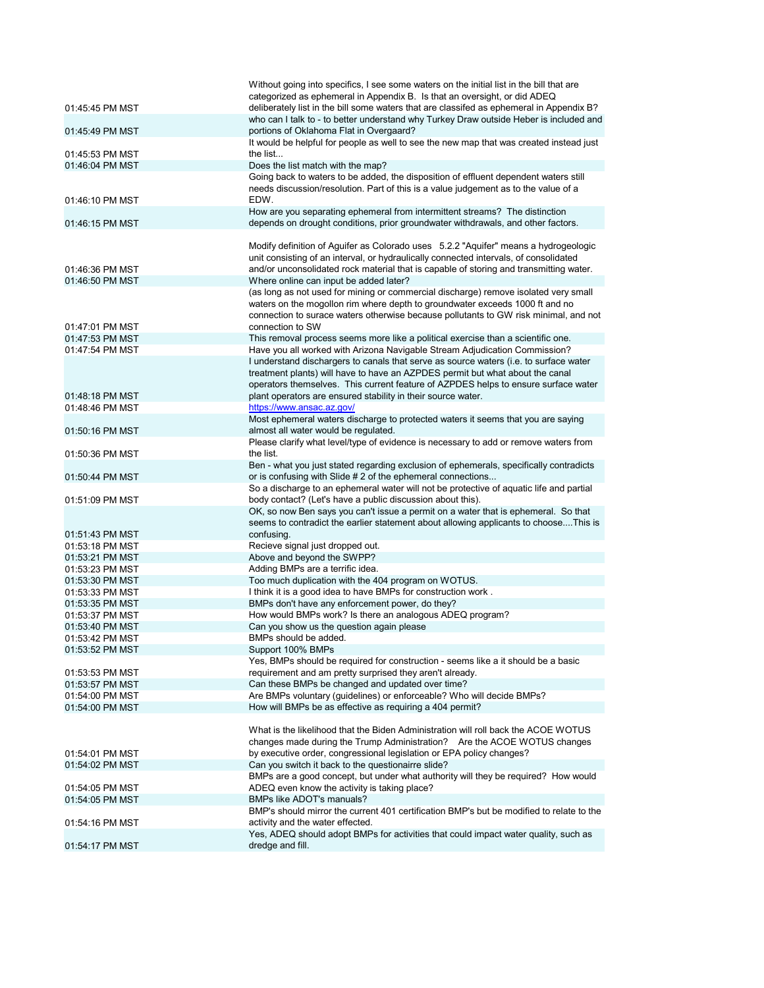|                                    | Without going into specifics, I see some waters on the initial list in the bill that are                                                                              |
|------------------------------------|-----------------------------------------------------------------------------------------------------------------------------------------------------------------------|
| 01:45:45 PM MST                    | categorized as ephemeral in Appendix B. Is that an oversight, or did ADEQ<br>deliberately list in the bill some waters that are classifed as ephemeral in Appendix B? |
|                                    | who can I talk to - to better understand why Turkey Draw outside Heber is included and                                                                                |
| 01:45:49 PM MST                    | portions of Oklahoma Flat in Overgaard?                                                                                                                               |
|                                    | It would be helpful for people as well to see the new map that was created instead just                                                                               |
| 01:45:53 PM MST                    | the list                                                                                                                                                              |
| 01:46:04 PM MST                    | Does the list match with the map?                                                                                                                                     |
|                                    | Going back to waters to be added, the disposition of effluent dependent waters still                                                                                  |
|                                    | needs discussion/resolution. Part of this is a value judgement as to the value of a                                                                                   |
| 01:46:10 PM MST                    | EDW.                                                                                                                                                                  |
|                                    | How are you separating ephemeral from intermittent streams? The distinction                                                                                           |
| 01:46:15 PM MST                    | depends on drought conditions, prior groundwater withdrawals, and other factors.                                                                                      |
|                                    | Modify definition of Aguifer as Colorado uses 5.2.2 "Aquifer" means a hydrogeologic                                                                                   |
|                                    | unit consisting of an interval, or hydraulically connected intervals, of consolidated                                                                                 |
| 01:46:36 PM MST                    | and/or unconsolidated rock material that is capable of storing and transmitting water.                                                                                |
| 01:46:50 PM MST                    | Where online can input be added later?                                                                                                                                |
|                                    | (as long as not used for mining or commercial discharge) remove isolated very small                                                                                   |
|                                    | waters on the mogollon rim where depth to groundwater exceeds 1000 ft and no                                                                                          |
|                                    | connection to surace waters otherwise because pollutants to GW risk minimal, and not                                                                                  |
| 01:47:01 PM MST                    | connection to SW                                                                                                                                                      |
| 01:47:53 PM MST                    | This removal process seems more like a political exercise than a scientific one.                                                                                      |
| 01:47:54 PM MST                    | Have you all worked with Arizona Navigable Stream Adjudication Commission?<br>I understand dischargers to canals that serve as source waters (i.e. to surface water   |
|                                    | treatment plants) will have to have an AZPDES permit but what about the canal                                                                                         |
|                                    | operators themselves. This current feature of AZPDES helps to ensure surface water                                                                                    |
| 01:48:18 PM MST                    | plant operators are ensured stability in their source water.                                                                                                          |
| 01:48:46 PM MST                    | https://www.ansac.az.gov/                                                                                                                                             |
|                                    | Most ephemeral waters discharge to protected waters it seems that you are saying                                                                                      |
| 01:50:16 PM MST                    | almost all water would be regulated.                                                                                                                                  |
|                                    | Please clarify what level/type of evidence is necessary to add or remove waters from                                                                                  |
| 01:50:36 PM MST                    | the list.                                                                                                                                                             |
|                                    | Ben - what you just stated regarding exclusion of ephemerals, specifically contradicts                                                                                |
| 01:50:44 PM MST                    | or is confusing with Slide # 2 of the ephemeral connections<br>So a discharge to an ephemeral water will not be protective of aquatic life and partial                |
| 01:51:09 PM MST                    | body contact? (Let's have a public discussion about this).                                                                                                            |
|                                    | OK, so now Ben says you can't issue a permit on a water that is ephemeral. So that                                                                                    |
|                                    | seems to contradict the earlier statement about allowing applicants to chooseThis is                                                                                  |
| 01:51:43 PM MST                    | confusing.                                                                                                                                                            |
| 01:53:18 PM MST                    | Recieve signal just dropped out.                                                                                                                                      |
| 01:53:21 PM MST                    | Above and beyond the SWPP?                                                                                                                                            |
| 01:53:23 PM MST                    | Adding BMPs are a terrific idea.                                                                                                                                      |
| 01:53:30 PM MST                    | Too much duplication with the 404 program on WOTUS.                                                                                                                   |
| 01:53:33 PM MST                    | I think it is a good idea to have BMPs for construction work.                                                                                                         |
| 01:53:35 PM MST<br>01:53:37 PM MST | BMPs don't have any enforcement power, do they?<br>How would BMPs work? Is there an analogous ADEQ program?                                                           |
| 01:53:40 PM MST                    | Can you show us the question again please                                                                                                                             |
| 01:53:42 PM MST                    | BMPs should be added.                                                                                                                                                 |
| 01:53:52 PM MST                    | Support 100% BMPs                                                                                                                                                     |
|                                    | Yes, BMPs should be required for construction - seems like a it should be a basic                                                                                     |
| 01:53:53 PM MST                    | requirement and am pretty surprised they aren't already.                                                                                                              |
| 01:53:57 PM MST                    | Can these BMPs be changed and updated over time?                                                                                                                      |
| 01:54:00 PM MST                    | Are BMPs voluntary (guidelines) or enforceable? Who will decide BMPs?                                                                                                 |
| 01:54:00 PM MST                    | How will BMPs be as effective as requiring a 404 permit?                                                                                                              |
|                                    |                                                                                                                                                                       |
|                                    | What is the likelihood that the Biden Administration will roll back the ACOE WOTUS<br>changes made during the Trump Administration? Are the ACOE WOTUS changes        |
| 01:54:01 PM MST                    | by executive order, congressional legislation or EPA policy changes?                                                                                                  |
| 01:54:02 PM MST                    | Can you switch it back to the questionairre slide?                                                                                                                    |
|                                    | BMPs are a good concept, but under what authority will they be required? How would                                                                                    |
| 01:54:05 PM MST                    | ADEQ even know the activity is taking place?                                                                                                                          |
| 01:54:05 PM MST                    | <b>BMPs like ADOT's manuals?</b>                                                                                                                                      |
|                                    | BMP's should mirror the current 401 certification BMP's but be modified to relate to the                                                                              |
| 01:54:16 PM MST                    | activity and the water effected.                                                                                                                                      |
|                                    | Yes, ADEQ should adopt BMPs for activities that could impact water quality, such as                                                                                   |
| 01:54:17 PM MST                    | dredge and fill.                                                                                                                                                      |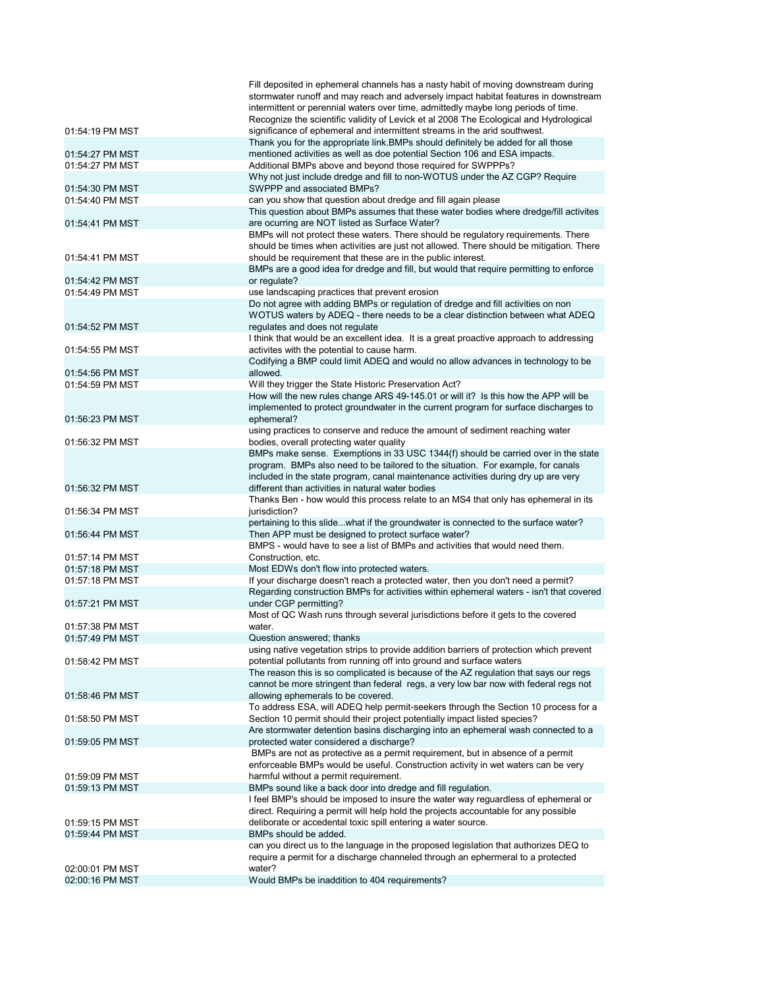|                 | Fill deposited in ephemeral channels has a nasty habit of moving downstream during                                                                                      |
|-----------------|-------------------------------------------------------------------------------------------------------------------------------------------------------------------------|
|                 | stormwater runoff and may reach and adversely impact habitat features in downstream                                                                                     |
|                 | intermittent or perennial waters over time, admittedly maybe long periods of time.                                                                                      |
| 01:54:19 PM MST | Recognize the scientific validity of Levick et al 2008 The Ecological and Hydrological<br>significance of ephemeral and intermittent streams in the arid southwest.     |
|                 | Thank you for the appropriate link. BMPs should definitely be added for all those                                                                                       |
| 01:54:27 PM MST | mentioned activities as well as doe potential Section 106 and ESA impacts.                                                                                              |
| 01:54:27 PM MST | Additional BMPs above and beyond those required for SWPPPs?                                                                                                             |
|                 | Why not just include dredge and fill to non-WOTUS under the AZ CGP? Require                                                                                             |
| 01:54:30 PM MST | SWPPP and associated BMPs?                                                                                                                                              |
| 01:54:40 PM MST | can you show that question about dredge and fill again please                                                                                                           |
|                 | This question about BMPs assumes that these water bodies where dredge/fill activites                                                                                    |
| 01:54:41 PM MST | are ocurring are NOT listed as Surface Water?                                                                                                                           |
|                 | BMPs will not protect these waters. There should be regulatory requirements. There                                                                                      |
| 01:54:41 PM MST | should be times when activities are just not allowed. There should be mitigation. There<br>should be requirement that these are in the public interest.                 |
|                 | BMPs are a good idea for dredge and fill, but would that require permitting to enforce                                                                                  |
| 01:54:42 PM MST | or regulate?                                                                                                                                                            |
| 01:54:49 PM MST | use landscaping practices that prevent erosion                                                                                                                          |
|                 | Do not agree with adding BMPs or regulation of dredge and fill activities on non                                                                                        |
|                 | WOTUS waters by ADEQ - there needs to be a clear distinction between what ADEQ                                                                                          |
| 01:54:52 PM MST | regulates and does not regulate                                                                                                                                         |
|                 | I think that would be an excellent idea. It is a great proactive approach to addressing                                                                                 |
| 01:54:55 PM MST | activites with the potential to cause harm.                                                                                                                             |
| 01:54:56 PM MST | Codifying a BMP could limit ADEQ and would no allow advances in technology to be<br>allowed.                                                                            |
| 01:54:59 PM MST | Will they trigger the State Historic Preservation Act?                                                                                                                  |
|                 | How will the new rules change ARS 49-145.01 or will it? Is this how the APP will be                                                                                     |
|                 | implemented to protect groundwater in the current program for surface discharges to                                                                                     |
| 01:56:23 PM MST | ephemeral?                                                                                                                                                              |
|                 | using practices to conserve and reduce the amount of sediment reaching water                                                                                            |
| 01:56:32 PM MST | bodies, overall protecting water quality                                                                                                                                |
|                 | BMPs make sense. Exemptions in 33 USC 1344(f) should be carried over in the state                                                                                       |
|                 | program. BMPs also need to be tailored to the situation. For example, for canals                                                                                        |
|                 | included in the state program, canal maintenance activities during dry up are very<br>different than activities in natural water bodies                                 |
| 01:56:32 PM MST | Thanks Ben - how would this process relate to an MS4 that only has ephemeral in its                                                                                     |
| 01:56:34 PM MST | jurisdiction?                                                                                                                                                           |
|                 | pertaining to this slidewhat if the groundwater is connected to the surface water?                                                                                      |
| 01:56:44 PM MST | Then APP must be designed to protect surface water?                                                                                                                     |
|                 | BMPS - would have to see a list of BMPs and activities that would need them.                                                                                            |
| 01:57:14 PM MST | Construction, etc.                                                                                                                                                      |
| 01:57:18 PM MST | Most EDWs don't flow into protected waters.                                                                                                                             |
| 01:57:18 PM MST | If your discharge doesn't reach a protected water, then you don't need a permit?                                                                                        |
| 01:57:21 PM MST | Regarding construction BMPs for activities within ephemeral waters - isn't that covered<br>under CGP permitting?                                                        |
|                 | Most of QC Wash runs through several jurisdictions before it gets to the covered                                                                                        |
| 01:57:38 PM MST | water.                                                                                                                                                                  |
| 01:57:49 PM MST | Question answered; thanks                                                                                                                                               |
|                 | using native vegetation strips to provide addition barriers of protection which prevent                                                                                 |
| 01:58:42 PM MST | potential pollutants from running off into ground and surface waters                                                                                                    |
|                 | The reason this is so complicated is because of the AZ regulation that says our regs                                                                                    |
|                 | cannot be more stringent than federal regs, a very low bar now with federal regs not                                                                                    |
| 01:58:46 PM MST | allowing ephemerals to be covered.                                                                                                                                      |
|                 | To address ESA, will ADEQ help permit-seekers through the Section 10 process for a                                                                                      |
| 01:58:50 PM MST | Section 10 permit should their project potentially impact listed species?                                                                                               |
| 01:59:05 PM MST | Are stormwater detention basins discharging into an ephemeral wash connected to a<br>protected water considered a discharge?                                            |
|                 | BMPs are not as protective as a permit requirement, but in absence of a permit                                                                                          |
|                 | enforceable BMPs would be useful. Construction activity in wet waters can be very                                                                                       |
| 01:59:09 PM MST | harmful without a permit requirement.                                                                                                                                   |
| 01:59:13 PM MST | BMPs sound like a back door into dredge and fill regulation.                                                                                                            |
|                 | I feel BMP's should be imposed to insure the water way reguardless of ephemeral or                                                                                      |
|                 | direct. Requiring a permit will help hold the projects accountable for any possible                                                                                     |
| 01:59:15 PM MST | deliborate or accedental toxic spill entering a water source.                                                                                                           |
| 01:59:44 PM MST | BMPs should be added.                                                                                                                                                   |
|                 | can you direct us to the language in the proposed legislation that authorizes DEQ to<br>require a permit for a discharge channeled through an ephermeral to a protected |
| 02:00:01 PM MST | water?                                                                                                                                                                  |
| 02:00:16 PM MST | Would BMPs be inaddition to 404 requirements?                                                                                                                           |
|                 |                                                                                                                                                                         |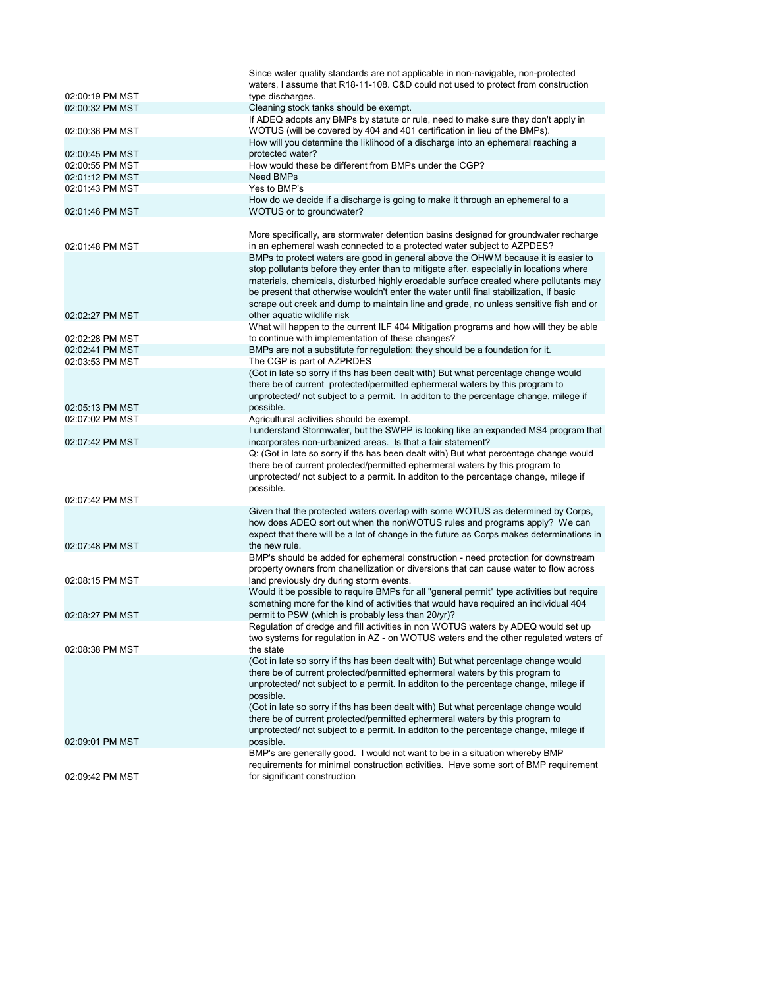|                 | Since water quality standards are not applicable in non-navigable, non-protected<br>waters, I assume that R18-11-108. C&D could not used to protect from construction |
|-----------------|-----------------------------------------------------------------------------------------------------------------------------------------------------------------------|
| 02:00:19 PM MST | type discharges.                                                                                                                                                      |
| 02:00:32 PM MST | Cleaning stock tanks should be exempt.                                                                                                                                |
|                 | If ADEQ adopts any BMPs by statute or rule, need to make sure they don't apply in                                                                                     |
| 02:00:36 PM MST | WOTUS (will be covered by 404 and 401 certification in lieu of the BMPs).                                                                                             |
|                 | How will you determine the liklihood of a discharge into an ephemeral reaching a                                                                                      |
| 02:00:45 PM MST | protected water?                                                                                                                                                      |
| 02:00:55 PM MST | How would these be different from BMPs under the CGP?                                                                                                                 |
| 02:01:12 PM MST | <b>Need BMPs</b>                                                                                                                                                      |
| 02:01:43 PM MST | Yes to BMP's                                                                                                                                                          |
| 02:01:46 PM MST | How do we decide if a discharge is going to make it through an ephemeral to a<br>WOTUS or to groundwater?                                                             |
|                 |                                                                                                                                                                       |
| 02:01:48 PM MST | More specifically, are stormwater detention basins designed for groundwater recharge<br>in an ephemeral wash connected to a protected water subject to AZPDES?        |
|                 | BMPs to protect waters are good in general above the OHWM because it is easier to                                                                                     |
|                 | stop pollutants before they enter than to mitigate after, especially in locations where                                                                               |
|                 | materials, chemicals, disturbed highly eroadable surface created where pollutants may                                                                                 |
|                 | be present that otherwise wouldn't enter the water until final stabilization, If basic                                                                                |
|                 | scrape out creek and dump to maintain line and grade, no unless sensitive fish and or                                                                                 |
| 02:02:27 PM MST | other aquatic wildlife risk                                                                                                                                           |
|                 | What will happen to the current ILF 404 Mitigation programs and how will they be able                                                                                 |
| 02:02:28 PM MST | to continue with implementation of these changes?                                                                                                                     |
| 02:02:41 PM MST | BMPs are not a substitute for regulation; they should be a foundation for it.                                                                                         |
| 02:03:53 PM MST | The CGP is part of AZPRDES                                                                                                                                            |
|                 | (Got in late so sorry if ths has been dealt with) But what percentage change would<br>there be of current protected/permitted ephermeral waters by this program to    |
|                 | unprotected/ not subject to a permit. In additon to the percentage change, milege if                                                                                  |
| 02:05:13 PM MST | possible.                                                                                                                                                             |
| 02:07:02 PM MST | Agricultural activities should be exempt.                                                                                                                             |
|                 | I understand Stormwater, but the SWPP is looking like an expanded MS4 program that                                                                                    |
| 02:07:42 PM MST | incorporates non-urbanized areas. Is that a fair statement?                                                                                                           |
|                 | Q: (Got in late so sorry if ths has been dealt with) But what percentage change would                                                                                 |
|                 | there be of current protected/permitted ephermeral waters by this program to                                                                                          |
|                 | unprotected/ not subject to a permit. In additon to the percentage change, milege if                                                                                  |
|                 | possible.                                                                                                                                                             |
| 02:07:42 PM MST |                                                                                                                                                                       |
|                 | Given that the protected waters overlap with some WOTUS as determined by Corps,                                                                                       |
|                 | how does ADEQ sort out when the nonWOTUS rules and programs apply? We can<br>expect that there will be a lot of change in the future as Corps makes determinations in |
| 02:07:48 PM MST | the new rule.                                                                                                                                                         |
|                 | BMP's should be added for ephemeral construction - need protection for downstream                                                                                     |
|                 | property owners from chanellization or diversions that can cause water to flow across                                                                                 |
| 02:08:15 PM MST | land previously dry during storm events.                                                                                                                              |
|                 | Would it be possible to require BMPs for all "general permit" type activities but require                                                                             |
|                 | something more for the kind of activities that would have required an individual 404                                                                                  |
| 02:08:27 PM MST | permit to PSW (which is probably less than 20/yr)?                                                                                                                    |
|                 | Regulation of dredge and fill activities in non WOTUS waters by ADEQ would set up                                                                                     |
|                 | two systems for regulation in AZ - on WOTUS waters and the other regulated waters of                                                                                  |
| 02:08:38 PM MST | the state                                                                                                                                                             |
|                 | (Got in late so sorry if ths has been dealt with) But what percentage change would<br>there be of current protected/permitted ephermeral waters by this program to    |
|                 | unprotected/ not subject to a permit. In additon to the percentage change, milege if                                                                                  |
|                 | possible.                                                                                                                                                             |
|                 | (Got in late so sorry if ths has been dealt with) But what percentage change would                                                                                    |
|                 | there be of current protected/permitted ephermeral waters by this program to                                                                                          |
|                 | unprotected/ not subject to a permit. In additon to the percentage change, milege if                                                                                  |
| 02:09:01 PM MST | possible.                                                                                                                                                             |
|                 | BMP's are generally good. I would not want to be in a situation whereby BMP                                                                                           |
|                 | requirements for minimal construction activities. Have some sort of BMP requirement                                                                                   |
| 02:09:42 PM MST | for significant construction                                                                                                                                          |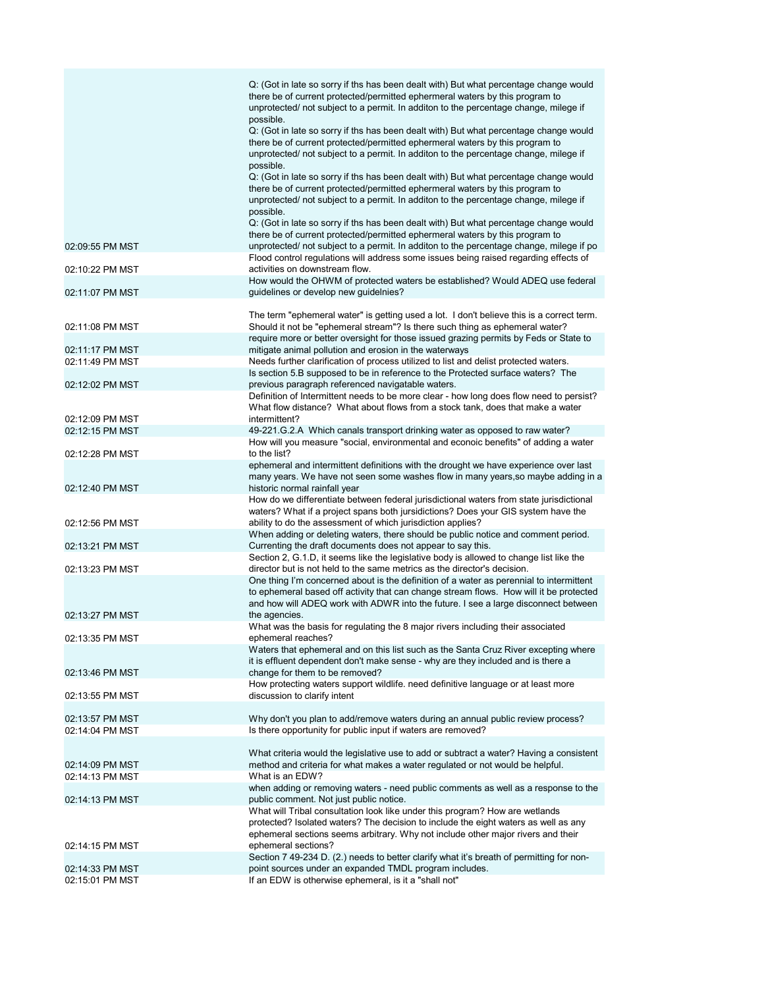|                 | Q: (Got in late so sorry if ths has been dealt with) But what percentage change would<br>there be of current protected/permitted ephermeral waters by this program to<br>unprotected/ not subject to a permit. In additon to the percentage change, milege if<br>possible. |
|-----------------|----------------------------------------------------------------------------------------------------------------------------------------------------------------------------------------------------------------------------------------------------------------------------|
|                 | Q: (Got in late so sorry if ths has been dealt with) But what percentage change would<br>there be of current protected/permitted ephermeral waters by this program to<br>unprotected/ not subject to a permit. In additon to the percentage change, milege if<br>possible. |
|                 | Q: (Got in late so sorry if ths has been dealt with) But what percentage change would<br>there be of current protected/permitted ephermeral waters by this program to<br>unprotected/ not subject to a permit. In additon to the percentage change, milege if<br>possible. |
|                 | Q: (Got in late so sorry if ths has been dealt with) But what percentage change would                                                                                                                                                                                      |
| 02:09:55 PM MST | there be of current protected/permitted ephermeral waters by this program to<br>unprotected/ not subject to a permit. In additon to the percentage change, milege if po<br>Flood control regulations will address some issues being raised regarding effects of            |
| 02:10:22 PM MST | activities on downstream flow.<br>How would the OHWM of protected waters be established? Would ADEQ use federal                                                                                                                                                            |
| 02:11:07 PM MST | guidelines or develop new guidelnies?                                                                                                                                                                                                                                      |
| 02:11:08 PM MST | The term "ephemeral water" is getting used a lot. I don't believe this is a correct term.<br>Should it not be "ephemeral stream"? Is there such thing as ephemeral water?                                                                                                  |
| 02:11:17 PM MST | require more or better oversight for those issued grazing permits by Feds or State to<br>mitigate animal pollution and erosion in the waterways                                                                                                                            |
| 02:11:49 PM MST | Needs further clarification of process utilized to list and delist protected waters.                                                                                                                                                                                       |
| 02:12:02 PM MST | Is section 5.B supposed to be in reference to the Protected surface waters? The<br>previous paragraph referenced navigatable waters.                                                                                                                                       |
|                 | Definition of Intermittent needs to be more clear - how long does flow need to persist?<br>What flow distance? What about flows from a stock tank, does that make a water                                                                                                  |
| 02:12:09 PM MST | intermittent?                                                                                                                                                                                                                                                              |
| 02:12:15 PM MST | 49-221.G.2.A Which canals transport drinking water as opposed to raw water?<br>How will you measure "social, environmental and econoic benefits" of adding a water                                                                                                         |
| 02:12:28 PM MST | to the list?                                                                                                                                                                                                                                                               |
|                 | ephemeral and intermittent definitions with the drought we have experience over last<br>many years. We have not seen some washes flow in many years, so maybe adding in a                                                                                                  |
| 02:12:40 PM MST | historic normal rainfall year<br>How do we differentiate between federal jurisdictional waters from state jurisdictional<br>waters? What if a project spans both jursidictions? Does your GIS system have the                                                              |
| 02:12:56 PM MST | ability to do the assessment of which jurisdiction applies?<br>When adding or deleting waters, there should be public notice and comment period.                                                                                                                           |
| 02:13:21 PM MST | Currenting the draft documents does not appear to say this.<br>Section 2, G.1.D, it seems like the legislative body is allowed to change list like the                                                                                                                     |
| 02:13:23 PM MST | director but is not held to the same metrics as the director's decision.                                                                                                                                                                                                   |
|                 | One thing I'm concerned about is the definition of a water as perennial to intermittent<br>to ephemeral based off activity that can change stream flows. How will it be protected<br>and how will ADEQ work with ADWR into the future. I see a large disconnect between    |
| 02:13:27 PM MST | the agencies.                                                                                                                                                                                                                                                              |
| 02:13:35 PM MST | What was the basis for regulating the 8 major rivers including their associated<br>ephemeral reaches?                                                                                                                                                                      |
|                 | Waters that ephemeral and on this list such as the Santa Cruz River excepting where<br>it is effluent dependent don't make sense - why are they included and is there a                                                                                                    |
| 02:13:46 PM MST | change for them to be removed?<br>How protecting waters support wildlife. need definitive language or at least more                                                                                                                                                        |
| 02:13:55 PM MST | discussion to clarify intent                                                                                                                                                                                                                                               |
| 02:13:57 PM MST | Why don't you plan to add/remove waters during an annual public review process?                                                                                                                                                                                            |
| 02:14:04 PM MST | Is there opportunity for public input if waters are removed?                                                                                                                                                                                                               |
|                 |                                                                                                                                                                                                                                                                            |
| 02:14:09 PM MST | What criteria would the legislative use to add or subtract a water? Having a consistent<br>method and criteria for what makes a water regulated or not would be helpful.                                                                                                   |
| 02:14:13 PM MST | What is an EDW?                                                                                                                                                                                                                                                            |
|                 | when adding or removing waters - need public comments as well as a response to the                                                                                                                                                                                         |
| 02:14:13 PM MST | public comment. Not just public notice.<br>What will Tribal consultation look like under this program? How are wetlands                                                                                                                                                    |
|                 | protected? Isolated waters? The decision to include the eight waters as well as any<br>ephemeral sections seems arbitrary. Why not include other major rivers and their                                                                                                    |
| 02:14:15 PM MST | ephemeral sections?                                                                                                                                                                                                                                                        |
| 02:14:33 PM MST | Section 7 49-234 D. (2.) needs to better clarify what it's breath of permitting for non-<br>point sources under an expanded TMDL program includes.                                                                                                                         |
| 02:15:01 PM MST | If an EDW is otherwise ephemeral, is it a "shall not"                                                                                                                                                                                                                      |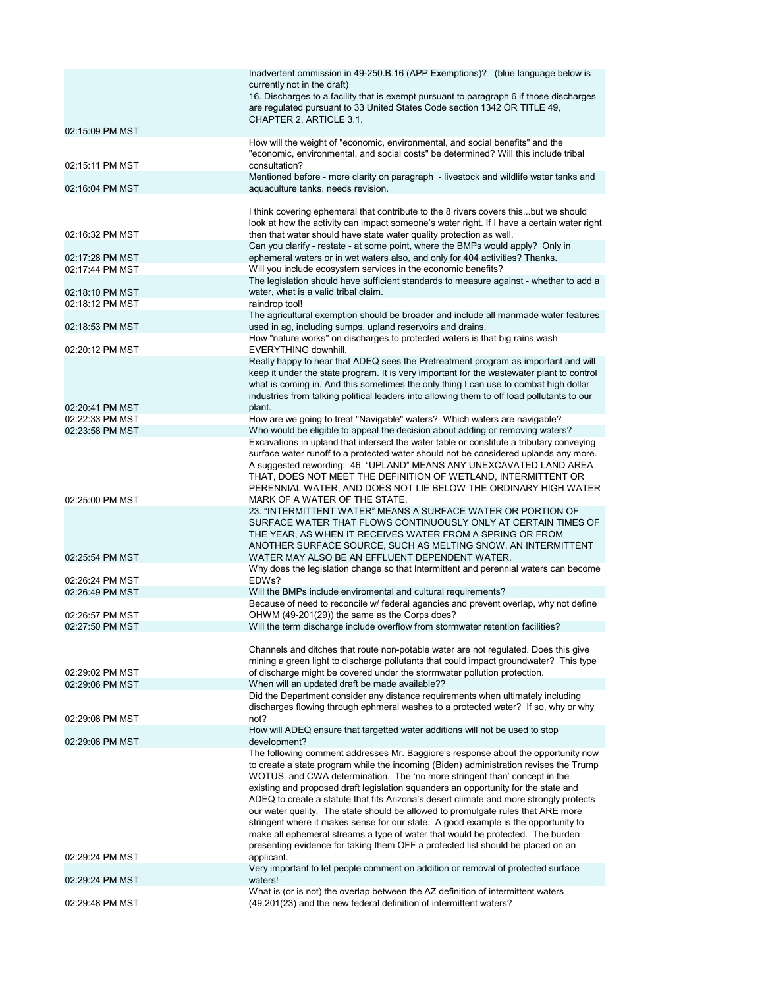|                                    | Inadvertent ommission in 49-250.B.16 (APP Exemptions)? (blue language below is<br>currently not in the draft)<br>16. Discharges to a facility that is exempt pursuant to paragraph 6 if those discharges<br>are regulated pursuant to 33 United States Code section 1342 OR TITLE 49,                                                                                                                                                                                                                                                                                                                                                                                                                                                                                                 |
|------------------------------------|---------------------------------------------------------------------------------------------------------------------------------------------------------------------------------------------------------------------------------------------------------------------------------------------------------------------------------------------------------------------------------------------------------------------------------------------------------------------------------------------------------------------------------------------------------------------------------------------------------------------------------------------------------------------------------------------------------------------------------------------------------------------------------------|
| 02:15:09 PM MST                    | CHAPTER 2, ARTICLE 3.1.                                                                                                                                                                                                                                                                                                                                                                                                                                                                                                                                                                                                                                                                                                                                                               |
|                                    | How will the weight of "economic, environmental, and social benefits" and the<br>"economic, environmental, and social costs" be determined? Will this include tribal                                                                                                                                                                                                                                                                                                                                                                                                                                                                                                                                                                                                                  |
| 02:15:11 PM MST                    | consultation?<br>Mentioned before - more clarity on paragraph - livestock and wildlife water tanks and                                                                                                                                                                                                                                                                                                                                                                                                                                                                                                                                                                                                                                                                                |
| 02:16:04 PM MST                    | aquaculture tanks. needs revision.                                                                                                                                                                                                                                                                                                                                                                                                                                                                                                                                                                                                                                                                                                                                                    |
| 02:16:32 PM MST                    | I think covering ephemeral that contribute to the 8 rivers covers thisbut we should<br>look at how the activity can impact someone's water right. If I have a certain water right<br>then that water should have state water quality protection as well.                                                                                                                                                                                                                                                                                                                                                                                                                                                                                                                              |
| 02:17:28 PM MST                    | Can you clarify - restate - at some point, where the BMPs would apply? Only in<br>ephemeral waters or in wet waters also, and only for 404 activities? Thanks.                                                                                                                                                                                                                                                                                                                                                                                                                                                                                                                                                                                                                        |
| 02:17:44 PM MST                    | Will you include ecosystem services in the economic benefits?                                                                                                                                                                                                                                                                                                                                                                                                                                                                                                                                                                                                                                                                                                                         |
| 02:18:10 PM MST                    | The legislation should have sufficient standards to measure against - whether to add a<br>water, what is a valid tribal claim.                                                                                                                                                                                                                                                                                                                                                                                                                                                                                                                                                                                                                                                        |
| 02:18:12 PM MST                    | raindrop tool!                                                                                                                                                                                                                                                                                                                                                                                                                                                                                                                                                                                                                                                                                                                                                                        |
| 02:18:53 PM MST                    | The agricultural exemption should be broader and include all manmade water features<br>used in ag, including sumps, upland reservoirs and drains.                                                                                                                                                                                                                                                                                                                                                                                                                                                                                                                                                                                                                                     |
|                                    | How "nature works" on discharges to protected waters is that big rains wash                                                                                                                                                                                                                                                                                                                                                                                                                                                                                                                                                                                                                                                                                                           |
| 02:20:12 PM MST                    | EVERYTHING downhill.<br>Really happy to hear that ADEQ sees the Pretreatment program as important and will                                                                                                                                                                                                                                                                                                                                                                                                                                                                                                                                                                                                                                                                            |
|                                    | keep it under the state program. It is very important for the wastewater plant to control<br>what is coming in. And this sometimes the only thing I can use to combat high dollar<br>industries from talking political leaders into allowing them to off load pollutants to our                                                                                                                                                                                                                                                                                                                                                                                                                                                                                                       |
| 02:20:41 PM MST                    | plant.                                                                                                                                                                                                                                                                                                                                                                                                                                                                                                                                                                                                                                                                                                                                                                                |
| 02:22:33 PM MST<br>02:23:58 PM MST | How are we going to treat "Navigable" waters? Which waters are navigable?<br>Who would be eligible to appeal the decision about adding or removing waters?                                                                                                                                                                                                                                                                                                                                                                                                                                                                                                                                                                                                                            |
|                                    | Excavations in upland that intersect the water table or constitute a tributary conveying<br>surface water runoff to a protected water should not be considered uplands any more.<br>A suggested rewording: 46. "UPLAND" MEANS ANY UNEXCAVATED LAND AREA<br>THAT, DOES NOT MEET THE DEFINITION OF WETLAND, INTERMITTENT OR<br>PERENNIAL WATER, AND DOES NOT LIE BELOW THE ORDINARY HIGH WATER                                                                                                                                                                                                                                                                                                                                                                                          |
| 02:25:00 PM MST                    | MARK OF A WATER OF THE STATE.<br>23. "INTERMITTENT WATER" MEANS A SURFACE WATER OR PORTION OF                                                                                                                                                                                                                                                                                                                                                                                                                                                                                                                                                                                                                                                                                         |
|                                    | SURFACE WATER THAT FLOWS CONTINUOUSLY ONLY AT CERTAIN TIMES OF<br>THE YEAR, AS WHEN IT RECEIVES WATER FROM A SPRING OR FROM<br>ANOTHER SURFACE SOURCE, SUCH AS MELTING SNOW. AN INTERMITTENT                                                                                                                                                                                                                                                                                                                                                                                                                                                                                                                                                                                          |
| 02:25:54 PM MST                    | WATER MAY ALSO BE AN EFFLUENT DEPENDENT WATER.<br>Why does the legislation change so that Intermittent and perennial waters can become                                                                                                                                                                                                                                                                                                                                                                                                                                                                                                                                                                                                                                                |
| 02:26:24 PM MST                    | EDWs?                                                                                                                                                                                                                                                                                                                                                                                                                                                                                                                                                                                                                                                                                                                                                                                 |
| 02:26:49 PM MST                    | Will the BMPs include enviromental and cultural requirements?                                                                                                                                                                                                                                                                                                                                                                                                                                                                                                                                                                                                                                                                                                                         |
| 02:26:57 PM MST                    | Because of need to reconcile w/ federal agencies and prevent overlap, why not define<br>OHWM (49-201(29)) the same as the Corps does?                                                                                                                                                                                                                                                                                                                                                                                                                                                                                                                                                                                                                                                 |
| 02:27:50 PM MST                    | Will the term discharge include overflow from stormwater retention facilities?                                                                                                                                                                                                                                                                                                                                                                                                                                                                                                                                                                                                                                                                                                        |
|                                    | Channels and ditches that route non-potable water are not regulated. Does this give<br>mining a green light to discharge pollutants that could impact groundwater? This type                                                                                                                                                                                                                                                                                                                                                                                                                                                                                                                                                                                                          |
| 02:29:02 PM MST                    | of discharge might be covered under the stormwater pollution protection.                                                                                                                                                                                                                                                                                                                                                                                                                                                                                                                                                                                                                                                                                                              |
| 02:29:06 PM MST                    | When will an updated draft be made available??                                                                                                                                                                                                                                                                                                                                                                                                                                                                                                                                                                                                                                                                                                                                        |
|                                    | Did the Department consider any distance requirements when ultimately including<br>discharges flowing through ephmeral washes to a protected water? If so, why or why                                                                                                                                                                                                                                                                                                                                                                                                                                                                                                                                                                                                                 |
| 02:29:08 PM MST                    | not?<br>How will ADEQ ensure that targetted water additions will not be used to stop                                                                                                                                                                                                                                                                                                                                                                                                                                                                                                                                                                                                                                                                                                  |
| 02:29:08 PM MST                    | development?                                                                                                                                                                                                                                                                                                                                                                                                                                                                                                                                                                                                                                                                                                                                                                          |
|                                    | The following comment addresses Mr. Baggiore's response about the opportunity now<br>to create a state program while the incoming (Biden) administration revises the Trump<br>WOTUS and CWA determination. The 'no more stringent than' concept in the<br>existing and proposed draft legislation squanders an opportunity for the state and<br>ADEQ to create a statute that fits Arizona's desert climate and more strongly protects<br>our water quality. The state should be allowed to promulgate rules that ARE more<br>stringent where it makes sense for our state. A good example is the opportunity to<br>make all ephemeral streams a type of water that would be protected. The burden<br>presenting evidence for taking them OFF a protected list should be placed on an |
| 02:29:24 PM MST                    | applicant.<br>Very important to let people comment on addition or removal of protected surface                                                                                                                                                                                                                                                                                                                                                                                                                                                                                                                                                                                                                                                                                        |
| 02:29:24 PM MST                    | waters!<br>What is (or is not) the overlap between the AZ definition of intermittent waters                                                                                                                                                                                                                                                                                                                                                                                                                                                                                                                                                                                                                                                                                           |
| 02:29:48 PM MST                    | (49.201(23) and the new federal definition of intermittent waters?                                                                                                                                                                                                                                                                                                                                                                                                                                                                                                                                                                                                                                                                                                                    |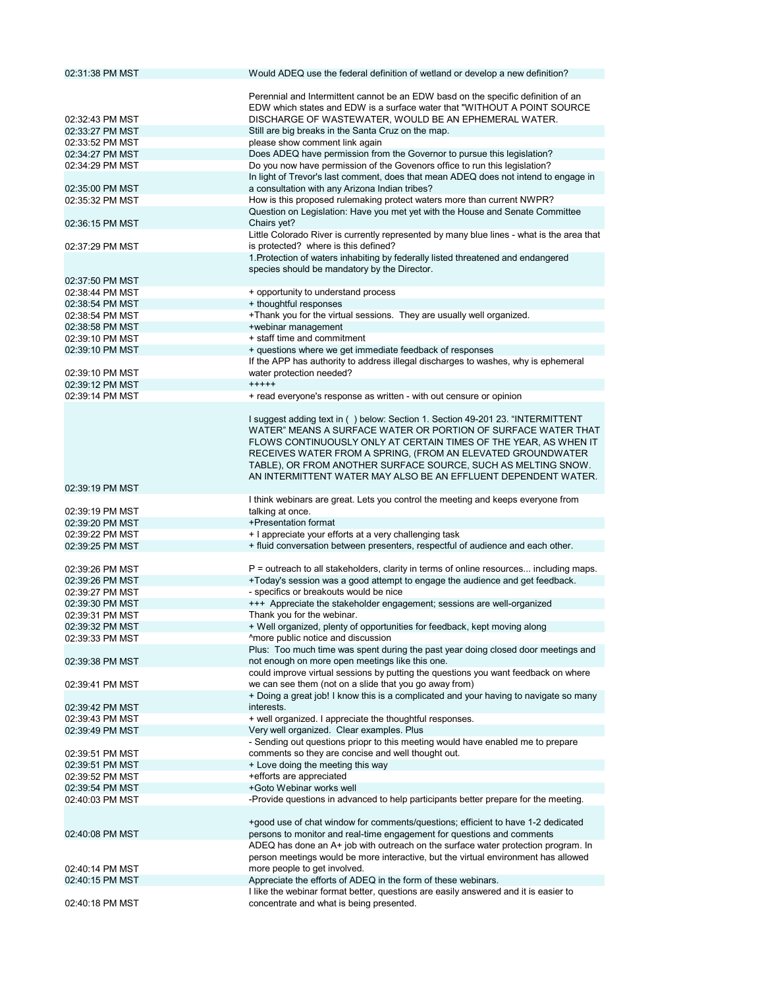| 02:31:38 PM MST                    | Would ADEQ use the federal definition of wetland or develop a new definition?                                                                                           |
|------------------------------------|-------------------------------------------------------------------------------------------------------------------------------------------------------------------------|
|                                    |                                                                                                                                                                         |
|                                    | Perennial and Intermittent cannot be an EDW basd on the specific definition of an                                                                                       |
|                                    | EDW which states and EDW is a surface water that "WITHOUT A POINT SOURCE                                                                                                |
| 02:32:43 PM MST<br>02:33:27 PM MST | DISCHARGE OF WASTEWATER, WOULD BE AN EPHEMERAL WATER.                                                                                                                   |
| 02:33:52 PM MST                    | Still are big breaks in the Santa Cruz on the map.<br>please show comment link again                                                                                    |
| 02:34:27 PM MST                    | Does ADEQ have permission from the Governor to pursue this legislation?                                                                                                 |
| 02:34:29 PM MST                    | Do you now have permission of the Govenors office to run this legislation?                                                                                              |
|                                    | In light of Trevor's last comment, does that mean ADEQ does not intend to engage in                                                                                     |
| 02:35:00 PM MST                    | a consultation with any Arizona Indian tribes?                                                                                                                          |
| 02:35:32 PM MST                    | How is this proposed rulemaking protect waters more than current NWPR?                                                                                                  |
|                                    | Question on Legislation: Have you met yet with the House and Senate Committee                                                                                           |
| 02:36:15 PM MST                    | Chairs yet?                                                                                                                                                             |
|                                    | Little Colorado River is currently represented by many blue lines - what is the area that                                                                               |
| 02:37:29 PM MST                    | is protected? where is this defined?                                                                                                                                    |
|                                    | 1. Protection of waters inhabiting by federally listed threatened and endangered                                                                                        |
| 02:37:50 PM MST                    | species should be mandatory by the Director.                                                                                                                            |
| 02:38:44 PM MST                    | + opportunity to understand process                                                                                                                                     |
| 02:38:54 PM MST                    | + thoughtful responses                                                                                                                                                  |
| 02:38:54 PM MST                    | +Thank you for the virtual sessions. They are usually well organized.                                                                                                   |
| 02:38:58 PM MST                    | +webinar management                                                                                                                                                     |
| 02:39:10 PM MST                    | + staff time and commitment                                                                                                                                             |
| 02:39:10 PM MST                    | + questions where we get immediate feedback of responses                                                                                                                |
|                                    | If the APP has authority to address illegal discharges to washes, why is ephemeral                                                                                      |
| 02:39:10 PM MST                    | water protection needed?                                                                                                                                                |
| 02:39:12 PM MST                    | $+++++$                                                                                                                                                                 |
| 02:39:14 PM MST                    | + read everyone's response as written - with out censure or opinion                                                                                                     |
|                                    |                                                                                                                                                                         |
|                                    | I suggest adding text in () below: Section 1. Section 49-201 23. "INTERMITTENT<br>WATER" MEANS A SURFACE WATER OR PORTION OF SURFACE WATER THAT                         |
|                                    | FLOWS CONTINUOUSLY ONLY AT CERTAIN TIMES OF THE YEAR, AS WHEN IT                                                                                                        |
|                                    | RECEIVES WATER FROM A SPRING, (FROM AN ELEVATED GROUNDWATER                                                                                                             |
|                                    | TABLE), OR FROM ANOTHER SURFACE SOURCE, SUCH AS MELTING SNOW.                                                                                                           |
|                                    | AN INTERMITTENT WATER MAY ALSO BE AN EFFLUENT DEPENDENT WATER.                                                                                                          |
|                                    |                                                                                                                                                                         |
|                                    |                                                                                                                                                                         |
| 02:39:19 PM MST                    | I think webinars are great. Lets you control the meeting and keeps everyone from                                                                                        |
| 02:39:19 PM MST                    | talking at once.                                                                                                                                                        |
| 02:39:20 PM MST                    | +Presentation format                                                                                                                                                    |
| 02:39:22 PM MST                    | + I appreciate your efforts at a very challenging task                                                                                                                  |
| 02:39:25 PM MST                    | + fluid conversation between presenters, respectful of audience and each other.                                                                                         |
|                                    |                                                                                                                                                                         |
| 02:39:26 PM MST                    | P = outreach to all stakeholders, clarity in terms of online resources including maps.                                                                                  |
| 02:39:26 PM MST                    | +Today's session was a good attempt to engage the audience and get feedback.                                                                                            |
| 02:39:27 PM MST                    | - specifics or breakouts would be nice                                                                                                                                  |
| 02:39:30 PM MST                    | +++ Appreciate the stakeholder engagement; sessions are well-organized                                                                                                  |
| 02:39:31 PM MST                    | Thank you for the webinar.                                                                                                                                              |
| 02:39:32 PM MST                    | + Well organized, plenty of opportunities for feedback, kept moving along                                                                                               |
| 02:39:33 PM MST                    | ^more public notice and discussion<br>Plus: Too much time was spent during the past year doing closed door meetings and                                                 |
| 02:39:38 PM MST                    | not enough on more open meetings like this one.                                                                                                                         |
|                                    | could improve virtual sessions by putting the questions you want feedback on where                                                                                      |
| 02:39:41 PM MST                    | we can see them (not on a slide that you go away from)                                                                                                                  |
|                                    | + Doing a great job! I know this is a complicated and your having to navigate so many                                                                                   |
| 02:39:42 PM MST                    | interests.                                                                                                                                                              |
| 02:39:43 PM MST                    | + well organized. I appreciate the thoughtful responses.                                                                                                                |
| 02:39:49 PM MST                    | Very well organized. Clear examples. Plus                                                                                                                               |
|                                    | - Sending out questions priopr to this meeting would have enabled me to prepare                                                                                         |
| 02:39:51 PM MST                    | comments so they are concise and well thought out.                                                                                                                      |
| 02:39:51 PM MST                    | + Love doing the meeting this way                                                                                                                                       |
| 02:39:52 PM MST                    | +efforts are appreciated                                                                                                                                                |
| 02:39:54 PM MST                    | +Goto Webinar works well                                                                                                                                                |
| 02:40:03 PM MST                    | -Provide questions in advanced to help participants better prepare for the meeting.                                                                                     |
|                                    |                                                                                                                                                                         |
| 02:40:08 PM MST                    | +good use of chat window for comments/questions; efficient to have 1-2 dedicated                                                                                        |
|                                    | persons to monitor and real-time engagement for questions and comments                                                                                                  |
|                                    | ADEQ has done an A+ job with outreach on the surface water protection program. In<br>person meetings would be more interactive, but the virtual environment has allowed |
| 02:40:14 PM MST                    | more people to get involved.                                                                                                                                            |
| 02:40:15 PM MST                    | Appreciate the efforts of ADEQ in the form of these webinars.                                                                                                           |
| 02:40:18 PM MST                    | I like the webinar format better, questions are easily answered and it is easier to<br>concentrate and what is being presented.                                         |